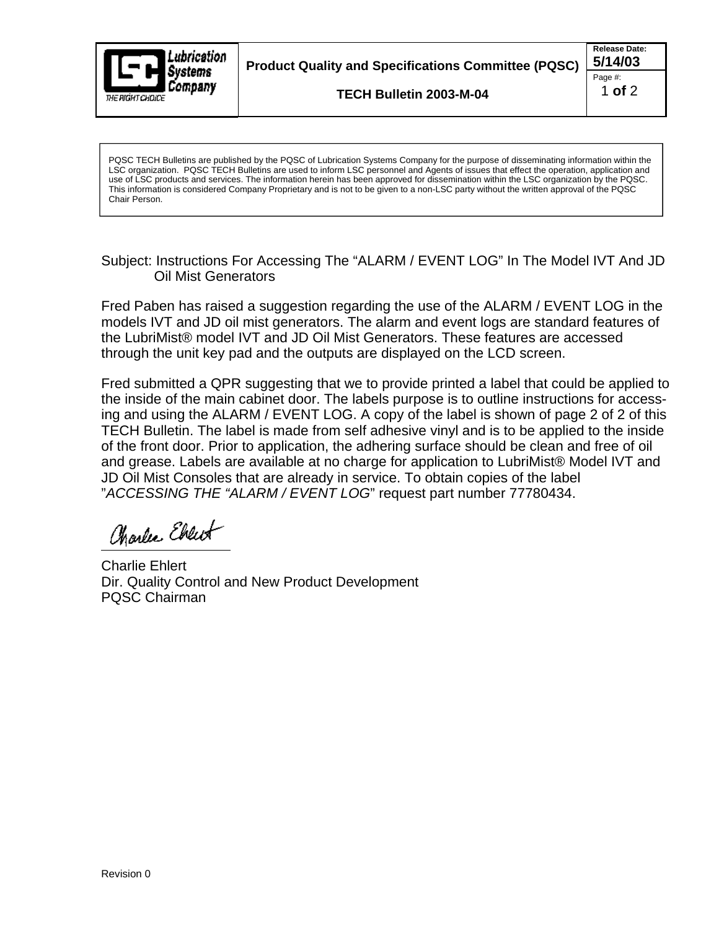

**Product Quality and Specifications Committee (PQSC) 5/14/03**

**TECH Bulletin 2003-M-04**

**Release Date:** Page #:  $\qquad \qquad \blacksquare$ 1 **of** 2

PQSC TECH Bulletins are published by the PQSC of Lubrication Systems Company for the purpose of disseminating information within the LSC organization. PQSC TECH Bulletins are used to inform LSC personnel and Agents of issues that effect the operation, application and use of LSC products and services. The information herein has been approved for dissemination within the LSC organization by the PQSC. This information is considered Company Proprietary and is not to be given to a non-LSC party without the written approval of the PQSC Chair Person.

Subject: Instructions For Accessing The "ALARM / EVENT LOG" In The Model IVT And JD Oil Mist Generators

Fred Paben has raised a suggestion regarding the use of the ALARM / EVENT LOG in the models IVT and JD oil mist generators. The alarm and event logs are standard features of the LubriMist® model IVT and JD Oil Mist Generators. These features are accessed through the unit key pad and the outputs are displayed on the LCD screen.

Fred submitted a QPR suggesting that we to provide printed a label that could be applied to the inside of the main cabinet door. The labels purpose is to outline instructions for accessing and using the ALARM / EVENT LOG. A copy of the label is shown of page 2 of 2 of this TECH Bulletin. The label is made from self adhesive vinyl and is to be applied to the inside of the front door. Prior to application, the adhering surface should be clean and free of oil and grease. Labels are available at no charge for application to LubriMist® Model IVT and JD Oil Mist Consoles that are already in service. To obtain copies of the label "ACCESSING THE "ALARM / EVENT LOG" request part number 77780434.

Charles Ebreit

Charlie Ehlert Dir. Quality Control and New Product Development PQSC Chairman